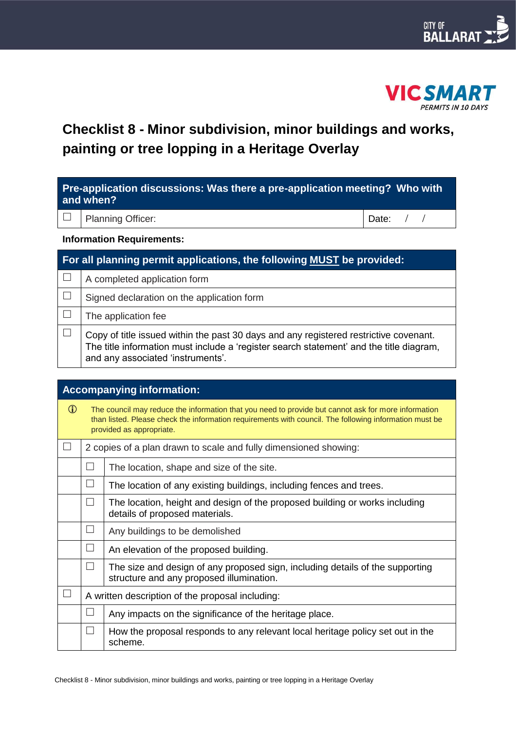



# **Checklist 8 - Minor subdivision, minor buildings and works, painting or tree lopping in a Heritage Overlay**

| Pre-application discussions: Was there a pre-application meeting? Who with<br>and when? |                          |             |  |  |
|-----------------------------------------------------------------------------------------|--------------------------|-------------|--|--|
|                                                                                         | $\Box$ Planning Officer: | Date: $/$ / |  |  |
| <b>Information Requirements:</b>                                                        |                          |             |  |  |
|                                                                                         |                          |             |  |  |

| For all planning permit applications, the following MUST be provided: |                                                                                                                                                                                                                       |  |  |  |
|-----------------------------------------------------------------------|-----------------------------------------------------------------------------------------------------------------------------------------------------------------------------------------------------------------------|--|--|--|
|                                                                       | A completed application form                                                                                                                                                                                          |  |  |  |
|                                                                       | Signed declaration on the application form                                                                                                                                                                            |  |  |  |
|                                                                       | The application fee                                                                                                                                                                                                   |  |  |  |
|                                                                       | Copy of title issued within the past 30 days and any registered restrictive covenant.<br>The title information must include a 'register search statement' and the title diagram,<br>and any associated 'instruments'. |  |  |  |

| <b>Accompanying information:</b> |                                                                                                                                                                                                                                           |                                                                                                                           |  |  |  |
|----------------------------------|-------------------------------------------------------------------------------------------------------------------------------------------------------------------------------------------------------------------------------------------|---------------------------------------------------------------------------------------------------------------------------|--|--|--|
| $\bigcirc$                       | The council may reduce the information that you need to provide but cannot ask for more information<br>than listed. Please check the information requirements with council. The following information must be<br>provided as appropriate. |                                                                                                                           |  |  |  |
|                                  |                                                                                                                                                                                                                                           | 2 copies of a plan drawn to scale and fully dimensioned showing:                                                          |  |  |  |
|                                  |                                                                                                                                                                                                                                           | The location, shape and size of the site.                                                                                 |  |  |  |
|                                  | $\perp$                                                                                                                                                                                                                                   | The location of any existing buildings, including fences and trees.                                                       |  |  |  |
|                                  | $\perp$                                                                                                                                                                                                                                   | The location, height and design of the proposed building or works including<br>details of proposed materials.             |  |  |  |
|                                  | $\Box$                                                                                                                                                                                                                                    | Any buildings to be demolished                                                                                            |  |  |  |
|                                  | $\perp$                                                                                                                                                                                                                                   | An elevation of the proposed building.                                                                                    |  |  |  |
|                                  | $\Box$                                                                                                                                                                                                                                    | The size and design of any proposed sign, including details of the supporting<br>structure and any proposed illumination. |  |  |  |
|                                  | A written description of the proposal including:                                                                                                                                                                                          |                                                                                                                           |  |  |  |
|                                  | $\Box$                                                                                                                                                                                                                                    | Any impacts on the significance of the heritage place.                                                                    |  |  |  |
|                                  | $\Box$                                                                                                                                                                                                                                    | How the proposal responds to any relevant local heritage policy set out in the<br>scheme.                                 |  |  |  |